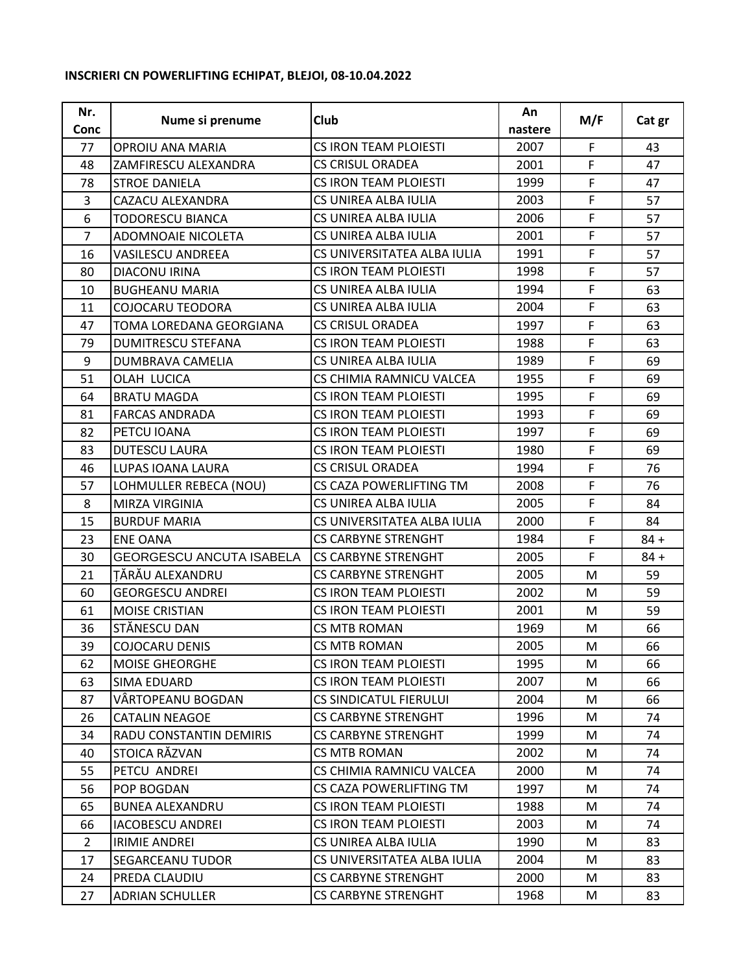## **INSCRIERI CN POWERLIFTING ECHIPAT, BLEJOI, 08-10.04.2022**

| Nr.<br><b>Conc</b> | Nume si prenume                 | Club                          | An<br>nastere | M/F | Cat gr |
|--------------------|---------------------------------|-------------------------------|---------------|-----|--------|
| 77                 | OPROIU ANA MARIA                | <b>CS IRON TEAM PLOIESTI</b>  | 2007          | F   | 43     |
| 48                 | ZAMFIRESCU ALEXANDRA            | <b>CS CRISUL ORADEA</b>       | 2001          | F   | 47     |
| 78                 | <b>STROE DANIELA</b>            | <b>CS IRON TEAM PLOIESTI</b>  | 1999          | F   | 47     |
| 3                  | CAZACU ALEXANDRA                | CS UNIREA ALBA IULIA          | 2003          | F.  | 57     |
| 6                  | TODORESCU BIANCA                | CS UNIREA ALBA IULIA          | 2006          | F   | 57     |
| $\overline{7}$     | ADOMNOAIE NICOLETA              | CS UNIREA ALBA IULIA          | 2001          | F   | 57     |
| 16                 | <b>VASILESCU ANDREEA</b>        | CS UNIVERSITATEA ALBA IULIA   | 1991          | F   | 57     |
| 80                 | DIACONU IRINA                   | <b>CS IRON TEAM PLOIESTI</b>  | 1998          | F   | 57     |
| 10                 | <b>BUGHEANU MARIA</b>           | CS UNIREA ALBA IULIA          | 1994          | F   | 63     |
| 11                 | COJOCARU TEODORA                | CS UNIREA ALBA IULIA          | 2004          | F   | 63     |
| 47                 | TOMA LOREDANA GEORGIANA         | <b>CS CRISUL ORADEA</b>       | 1997          | F   | 63     |
| 79                 | <b>DUMITRESCU STEFANA</b>       | <b>CS IRON TEAM PLOIESTI</b>  | 1988          | F   | 63     |
| 9                  | DUMBRAVA CAMELIA                | CS UNIREA ALBA IULIA          | 1989          | F   | 69     |
| 51                 | OLAH LUCICA                     | CS CHIMIA RAMNICU VALCEA      | 1955          | F   | 69     |
| 64                 | <b>BRATU MAGDA</b>              | <b>CS IRON TEAM PLOIESTI</b>  | 1995          | F   | 69     |
| 81                 | <b>FARCAS ANDRADA</b>           | CS IRON TEAM PLOIESTI         | 1993          | F.  | 69     |
| 82                 | PETCU IOANA                     | <b>CS IRON TEAM PLOIESTI</b>  | 1997          | F   | 69     |
| 83                 | <b>DUTESCU LAURA</b>            | <b>CS IRON TEAM PLOIESTI</b>  | 1980          | F   | 69     |
| 46                 | LUPAS IOANA LAURA               | <b>CS CRISUL ORADEA</b>       | 1994          | F   | 76     |
| 57                 | LOHMULLER REBECA (NOU)          | CS CAZA POWERLIFTING TM       | 2008          | F   | 76     |
| 8                  | MIRZA VIRGINIA                  | CS UNIREA ALBA IULIA          | 2005          | F   | 84     |
| 15                 | <b>BURDUF MARIA</b>             | CS UNIVERSITATEA ALBA IULIA   | 2000          | F   | 84     |
| 23                 | <b>ENE OANA</b>                 | <b>CS CARBYNE STRENGHT</b>    | 1984          | F.  | $84 +$ |
| 30                 | <b>GEORGESCU ANCUTA ISABELA</b> | <b>CS CARBYNE STRENGHT</b>    | 2005          | F.  | $84 +$ |
| 21                 | TĂRĂU ALEXANDRU                 | <b>CS CARBYNE STRENGHT</b>    | 2005          | M   | 59     |
| 60                 | <b>GEORGESCU ANDREI</b>         | <b>CS IRON TEAM PLOIESTI</b>  | 2002          | M   | 59     |
| 61                 | <b>MOISE CRISTIAN</b>           | <b>CS IRON TEAM PLOIESTI</b>  | 2001          | M   | 59     |
| 36                 | STĂNESCU DAN                    | <b>CS MTB ROMAN</b>           | 1969          | M   | 66     |
| 39                 | COJOCARU DENIS                  | <b>CS MTB ROMAN</b>           | 2005          | M   | 66     |
| 62                 | <b>MOISE GHEORGHE</b>           | CS IRON TEAM PLOIESTI         | 1995          | M   | 66     |
| 63                 | SIMA EDUARD                     | <b>CS IRON TEAM PLOIESTI</b>  | 2007          | M   | 66     |
| 87                 | VÄRTOPEANU BOGDAN               | <b>CS SINDICATUL FIERULUI</b> | 2004          | M   | 66     |
| 26                 | <b>CATALIN NEAGOE</b>           | <b>CS CARBYNE STRENGHT</b>    | 1996          | M   | 74     |
| 34                 | RADU CONSTANTIN DEMIRIS         | <b>CS CARBYNE STRENGHT</b>    | 1999          | M   | 74     |
| 40                 | STOICA RĂZVAN                   | <b>CS MTB ROMAN</b>           | 2002          | M   | 74     |
| 55                 | PETCU ANDREI                    | CS CHIMIA RAMNICU VALCEA      | 2000          | M   | 74     |
| 56                 | POP BOGDAN                      | CS CAZA POWERLIFTING TM       | 1997          | M   | 74     |
| 65                 | <b>BUNEA ALEXANDRU</b>          | <b>CS IRON TEAM PLOIESTI</b>  | 1988          | M   | 74     |
| 66                 | <b>IACOBESCU ANDREI</b>         | CS IRON TEAM PLOIESTI         | 2003          | M   | 74     |
| $\overline{2}$     | <b>IRIMIE ANDREI</b>            | CS UNIREA ALBA IULIA          | 1990          | M   | 83     |
| 17                 | <b>SEGARCEANU TUDOR</b>         | CS UNIVERSITATEA ALBA IULIA   | 2004          | M   | 83     |
| 24                 | PREDA CLAUDIU                   | <b>CS CARBYNE STRENGHT</b>    | 2000          | M   | 83     |
| 27                 | <b>ADRIAN SCHULLER</b>          | <b>CS CARBYNE STRENGHT</b>    | 1968          | M   | 83     |